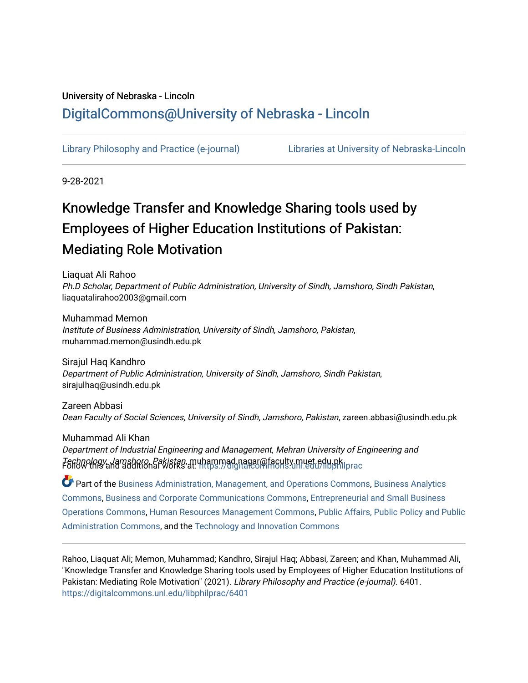# University of Nebraska - Lincoln [DigitalCommons@University of Nebraska - Lincoln](https://digitalcommons.unl.edu/)

[Library Philosophy and Practice \(e-journal\)](https://digitalcommons.unl.edu/libphilprac) [Libraries at University of Nebraska-Lincoln](https://digitalcommons.unl.edu/libraries) 

9-28-2021

# Knowledge Transfer and Knowledge Sharing tools used by Employees of Higher Education Institutions of Pakistan: Mediating Role Motivation

Liaquat Ali Rahoo Ph.D Scholar, Department of Public Administration, University of Sindh, Jamshoro, Sindh Pakistan, liaquatalirahoo2003@gmail.com

Muhammad Memon Institute of Business Administration, University of Sindh, Jamshoro, Pakistan, muhammad.memon@usindh.edu.pk

Sirajul Haq Kandhro Department of Public Administration, University of Sindh, Jamshoro, Sindh Pakistan, sirajulhaq@usindh.edu.pk

Zareen Abbasi Dean Faculty of Social Sciences, University of Sindh, Jamshoro, Pakistan, zareen.abbasi@usindh.edu.pk

Muhammad Ali Khan Department of Industrial Engineering and Management, Mehran University of Engineering and Technology, Jamshoro, Pakistan, m[uhammad.nagar@faculty.muet.edu.pk](https://digitalcommons.unl.edu/libphilprac?utm_source=digitalcommons.unl.edu%2Flibphilprac%2F6401&utm_medium=PDF&utm_campaign=PDFCoverPages) Follow this and additional works at: [https://digitalcommons.unl.edu/libphilprac](https://digitalcommons.unl.edu/libphilprac?utm_source=digitalcommons.unl.edu%2Flibphilprac%2F6401&utm_medium=PDF&utm_campaign=PDFCoverPages) 

Part of the [Business Administration, Management, and Operations Commons](http://network.bepress.com/hgg/discipline/623?utm_source=digitalcommons.unl.edu%2Flibphilprac%2F6401&utm_medium=PDF&utm_campaign=PDFCoverPages), [Business Analytics](http://network.bepress.com/hgg/discipline/1398?utm_source=digitalcommons.unl.edu%2Flibphilprac%2F6401&utm_medium=PDF&utm_campaign=PDFCoverPages) [Commons](http://network.bepress.com/hgg/discipline/1398?utm_source=digitalcommons.unl.edu%2Flibphilprac%2F6401&utm_medium=PDF&utm_campaign=PDFCoverPages), [Business and Corporate Communications Commons,](http://network.bepress.com/hgg/discipline/627?utm_source=digitalcommons.unl.edu%2Flibphilprac%2F6401&utm_medium=PDF&utm_campaign=PDFCoverPages) [Entrepreneurial and Small Business](http://network.bepress.com/hgg/discipline/630?utm_source=digitalcommons.unl.edu%2Flibphilprac%2F6401&utm_medium=PDF&utm_campaign=PDFCoverPages)  [Operations Commons](http://network.bepress.com/hgg/discipline/630?utm_source=digitalcommons.unl.edu%2Flibphilprac%2F6401&utm_medium=PDF&utm_campaign=PDFCoverPages), [Human Resources Management Commons](http://network.bepress.com/hgg/discipline/633?utm_source=digitalcommons.unl.edu%2Flibphilprac%2F6401&utm_medium=PDF&utm_campaign=PDFCoverPages), [Public Affairs, Public Policy and Public](http://network.bepress.com/hgg/discipline/393?utm_source=digitalcommons.unl.edu%2Flibphilprac%2F6401&utm_medium=PDF&utm_campaign=PDFCoverPages)  [Administration Commons,](http://network.bepress.com/hgg/discipline/393?utm_source=digitalcommons.unl.edu%2Flibphilprac%2F6401&utm_medium=PDF&utm_campaign=PDFCoverPages) and the [Technology and Innovation Commons](http://network.bepress.com/hgg/discipline/644?utm_source=digitalcommons.unl.edu%2Flibphilprac%2F6401&utm_medium=PDF&utm_campaign=PDFCoverPages) 

Rahoo, Liaquat Ali; Memon, Muhammad; Kandhro, Sirajul Haq; Abbasi, Zareen; and Khan, Muhammad Ali, "Knowledge Transfer and Knowledge Sharing tools used by Employees of Higher Education Institutions of Pakistan: Mediating Role Motivation" (2021). Library Philosophy and Practice (e-journal). 6401. [https://digitalcommons.unl.edu/libphilprac/6401](https://digitalcommons.unl.edu/libphilprac/6401?utm_source=digitalcommons.unl.edu%2Flibphilprac%2F6401&utm_medium=PDF&utm_campaign=PDFCoverPages)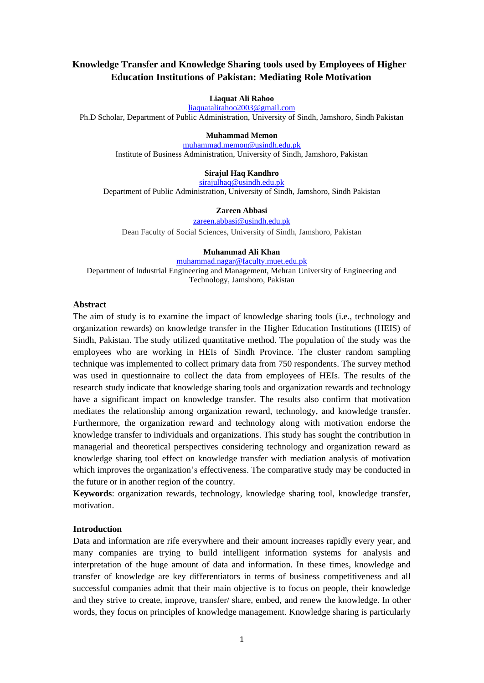# **Knowledge Transfer and Knowledge Sharing tools used by Employees of Higher Education Institutions of Pakistan: Mediating Role Motivation**

#### **Liaquat Ali Rahoo**

[liaquatalirahoo2003@gmail.com](mailto:liaquatalirahoo2003@gmail.com)

Ph.D Scholar, Department of Public Administration, University of Sindh, Jamshoro, Sindh Pakistan

#### **Muhammad Memon**

[muhammad.memon@usindh.edu.pk](mailto:muhammad.memon@usindh.edu.pk) Institute of Business Administration, University of Sindh, Jamshoro, Pakistan

#### **Sirajul Haq Kandhro**

[sirajulhaq@usindh.edu.pk](mailto:sirajulhaq@usindh.edu.pk)

Department of Public Administration, University of Sindh, Jamshoro, Sindh Pakistan

#### **Zareen Abbasi**

[zareen.abbasi@usindh.edu.pk](mailto:zareen.abbasi@usindh.edu.pk)

Dean Faculty of Social Sciences, University of Sindh, Jamshoro, Pakistan

#### **Muhammad Ali Khan**

[muhammad.nagar@faculty.muet.edu.pk](mailto:muhammad.nagar@faculty.muet.edu.pk) Department of Industrial Engineering and Management, Mehran University of Engineering and Technology, Jamshoro, Pakistan

#### **Abstract**

The aim of study is to examine the impact of knowledge sharing tools (i.e., technology and organization rewards) on knowledge transfer in the Higher Education Institutions (HEIS) of Sindh, Pakistan. The study utilized quantitative method. The population of the study was the employees who are working in HEIs of Sindh Province. The cluster random sampling technique was implemented to collect primary data from 750 respondents. The survey method was used in questionnaire to collect the data from employees of HEIs. The results of the research study indicate that knowledge sharing tools and organization rewards and technology have a significant impact on knowledge transfer. The results also confirm that motivation mediates the relationship among organization reward, technology, and knowledge transfer. Furthermore, the organization reward and technology along with motivation endorse the knowledge transfer to individuals and organizations. This study has sought the contribution in managerial and theoretical perspectives considering technology and organization reward as knowledge sharing tool effect on knowledge transfer with mediation analysis of motivation which improves the organization's effectiveness. The comparative study may be conducted in the future or in another region of the country.

**Keywords**: organization rewards, technology, knowledge sharing tool, knowledge transfer, motivation.

#### **Introduction**

Data and information are rife everywhere and their amount increases rapidly every year, and many companies are trying to build intelligent information systems for analysis and interpretation of the huge amount of data and information. In these times, knowledge and transfer of knowledge are key differentiators in terms of business competitiveness and all successful companies admit that their main objective is to focus on people, their knowledge and they strive to create, improve, transfer/ share, embed, and renew the knowledge. In other words, they focus on principles of knowledge management. Knowledge sharing is particularly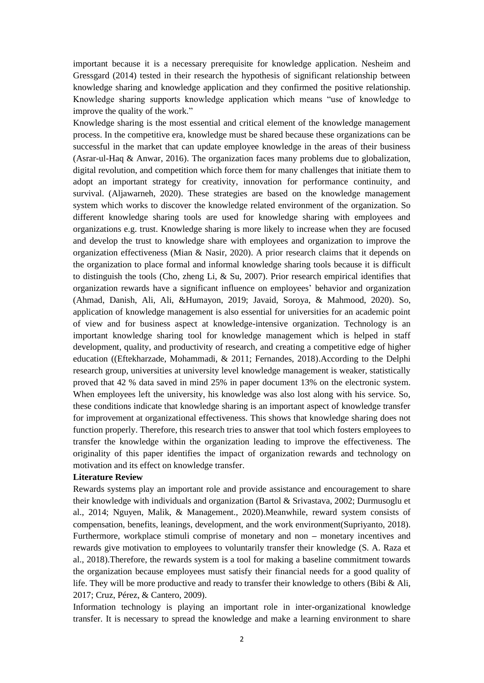important because it is a necessary prerequisite for knowledge application. Nesheim and Gressgard (2014) tested in their research the hypothesis of significant relationship between knowledge sharing and knowledge application and they confirmed the positive relationship. Knowledge sharing supports knowledge application which means "use of knowledge to improve the quality of the work."

Knowledge sharing is the most essential and critical element of the knowledge management process. In the competitive era, knowledge must be shared because these organizations can be successful in the market that can update employee knowledge in the areas of their business (Asrar-ul-Haq & Anwar, 2016). The organization faces many problems due to globalization, digital revolution, and competition which force them for many challenges that initiate them to adopt an important strategy for creativity, innovation for performance continuity, and survival. (Aljawarneh, 2020). These strategies are based on the knowledge management system which works to discover the knowledge related environment of the organization. So different knowledge sharing tools are used for knowledge sharing with employees and organizations e.g. trust. Knowledge sharing is more likely to increase when they are focused and develop the trust to knowledge share with employees and organization to improve the organization effectiveness (Mian & Nasir, 2020). A prior research claims that it depends on the organization to place formal and informal knowledge sharing tools because it is difficult to distinguish the tools (Cho, zheng Li,  $\&$  Su, 2007). Prior research empirical identifies that organization rewards have a significant influence on employees' behavior and organization (Ahmad, Danish, Ali, Ali, &Humayon, 2019; Javaid, Soroya, & Mahmood, 2020). So, application of knowledge management is also essential for universities for an academic point of view and for business aspect at knowledge-intensive organization. Technology is an important knowledge sharing tool for knowledge management which is helped in staff development, quality, and productivity of research, and creating a competitive edge of higher education ((Eftekharzade, Mohammadi, & 2011; Fernandes, 2018).According to the Delphi research group, universities at university level knowledge management is weaker, statistically proved that 42 % data saved in mind 25% in paper document 13% on the electronic system. When employees left the university, his knowledge was also lost along with his service. So, these conditions indicate that knowledge sharing is an important aspect of knowledge transfer for improvement at organizational effectiveness. This shows that knowledge sharing does not function properly. Therefore, this research tries to answer that tool which fosters employees to transfer the knowledge within the organization leading to improve the effectiveness. The originality of this paper identifies the impact of organization rewards and technology on motivation and its effect on knowledge transfer.

#### **Literature Review**

Rewards systems play an important role and provide assistance and encouragement to share their knowledge with individuals and organization (Bartol & Srivastava, 2002; Durmusoglu et al., 2014; Nguyen, Malik, & Management., 2020).Meanwhile, reward system consists of compensation, benefits, leanings, development, and the work environment(Supriyanto, 2018). Furthermore, workplace stimuli comprise of monetary and non **–** monetary incentives and rewards give motivation to employees to voluntarily transfer their knowledge (S. A. Raza et al., 2018).Therefore, the rewards system is a tool for making a baseline commitment towards the organization because employees must satisfy their financial needs for a good quality of life. They will be more productive and ready to transfer their knowledge to others (Bibi  $\&$  Ali, 2017; Cruz, Pérez, & Cantero, 2009).

Information technology is playing an important role in inter-organizational knowledge transfer. It is necessary to spread the knowledge and make a learning environment to share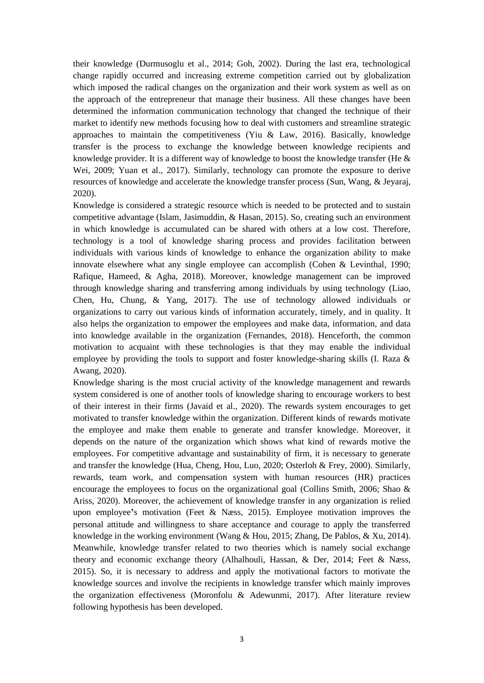their knowledge (Durmusoglu et al., 2014; Goh, 2002). During the last era, technological change rapidly occurred and increasing extreme competition carried out by globalization which imposed the radical changes on the organization and their work system as well as on the approach of the entrepreneur that manage their business. All these changes have been determined the information communication technology that changed the technique of their market to identify new methods focusing how to deal with customers and streamline strategic approaches to maintain the competitiveness (Yiu & Law, 2016). Basically, knowledge transfer is the process to exchange the knowledge between knowledge recipients and knowledge provider. It is a different way of knowledge to boost the knowledge transfer (He  $\&$ Wei, 2009; Yuan et al., 2017). Similarly, technology can promote the exposure to derive resources of knowledge and accelerate the knowledge transfer process (Sun, Wang, & Jeyaraj, 2020).

Knowledge is considered a strategic resource which is needed to be protected and to sustain competitive advantage (Islam, Jasimuddin, & Hasan, 2015). So, creating such an environment in which knowledge is accumulated can be shared with others at a low cost. Therefore, technology is a tool of knowledge sharing process and provides facilitation between individuals with various kinds of knowledge to enhance the organization ability to make innovate elsewhere what any single employee can accomplish (Cohen & Levinthal, 1990; Rafique, Hameed, & Agha, 2018). Moreover, knowledge management can be improved through knowledge sharing and transferring among individuals by using technology (Liao, Chen, Hu, Chung, & Yang, 2017). The use of technology allowed individuals or organizations to carry out various kinds of information accurately, timely, and in quality. It also helps the organization to empower the employees and make data, information, and data into knowledge available in the organization (Fernandes, 2018). Henceforth, the common motivation to acquaint with these technologies is that they may enable the individual employee by providing the tools to support and foster knowledge-sharing skills (I. Raza & Awang, 2020).

Knowledge sharing is the most crucial activity of the knowledge management and rewards system considered is one of another tools of knowledge sharing to encourage workers to best of their interest in their firms (Javaid et al., 2020). The rewards system encourages to get motivated to transfer knowledge within the organization. Different kinds of rewards motivate the employee and make them enable to generate and transfer knowledge. Moreover, it depends on the nature of the organization which shows what kind of rewards motive the employees. For competitive advantage and sustainability of firm, it is necessary to generate and transfer the knowledge (Hua, Cheng, Hou, Luo, 2020; Osterloh & Frey, 2000). Similarly, rewards, team work, and compensation system with human resources (HR) practices encourage the employees to focus on the organizational goal (Collins Smith, 2006; Shao & Ariss, 2020). Moreover, the achievement of knowledge transfer in any organization is relied upon employee**'**s motivation (Feet & Næss, 2015). Employee motivation improves the personal attitude and willingness to share acceptance and courage to apply the transferred knowledge in the working environment (Wang & Hou, 2015; Zhang, De Pablos, & Xu, 2014). Meanwhile, knowledge transfer related to two theories which is namely social exchange theory and economic exchange theory (Alhalhouli, Hassan, & Der, 2014; Feet & Næss, 2015). So, it is necessary to address and apply the motivational factors to motivate the knowledge sources and involve the recipients in knowledge transfer which mainly improves the organization effectiveness (Moronfolu & Adewunmi, 2017). After literature review following hypothesis has been developed.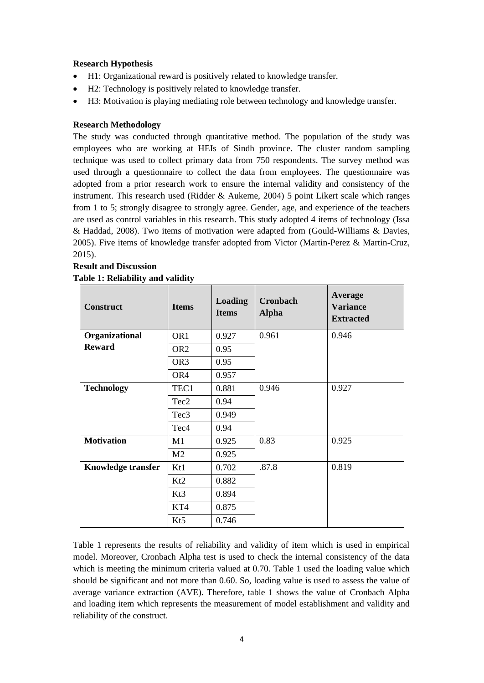### **Research Hypothesis**

- H1: Organizational reward is positively related to knowledge transfer.
- H2: Technology is positively related to knowledge transfer.
- H3: Motivation is playing mediating role between technology and knowledge transfer.

#### **Research Methodology**

The study was conducted through quantitative method. The population of the study was employees who are working at HEIs of Sindh province. The cluster random sampling technique was used to collect primary data from 750 respondents. The survey method was used through a questionnaire to collect the data from employees. The questionnaire was adopted from a prior research work to ensure the internal validity and consistency of the instrument. This research used (Ridder & Aukeme, 2004) 5 point Likert scale which ranges from 1 to 5; strongly disagree to strongly agree. Gender, age, and experience of the teachers are used as control variables in this research. This study adopted 4 items of technology (Issa & Haddad, 2008). Two items of motivation were adapted from (Gould-Williams & Davies, 2005). Five items of knowledge transfer adopted from Victor (Martin-Perez & Martin-Cruz, 2015).

## **Result and Discussion Table 1: Reliability and validity**

| <b>Construct</b>          | <b>Items</b>     | <b>Loading</b><br><b>Items</b> | Cronbach<br><b>Alpha</b> | Average<br><b>Variance</b><br><b>Extracted</b> |
|---------------------------|------------------|--------------------------------|--------------------------|------------------------------------------------|
| Organizational            | OR <sub>1</sub>  | 0.927                          | 0.961                    | 0.946                                          |
| <b>Reward</b>             | OR <sub>2</sub>  | 0.95                           |                          |                                                |
|                           | OR <sub>3</sub>  | 0.95                           |                          |                                                |
|                           | OR4              | 0.957                          |                          |                                                |
| <b>Technology</b>         | TEC1             | 0.881                          | 0.946                    | 0.927                                          |
|                           | Tec2             | 0.94                           |                          |                                                |
|                           | Tec <sub>3</sub> | 0.949                          |                          |                                                |
|                           | Tec <sub>4</sub> | 0.94                           |                          |                                                |
| <b>Motivation</b>         | M1               | 0.925                          | 0.83                     | 0.925                                          |
|                           | M <sub>2</sub>   | 0.925                          |                          |                                                |
| <b>Knowledge transfer</b> | K <sub>t</sub> 1 | 0.702                          | .87.8                    | 0.819                                          |
|                           | Kt2              | 0.882                          |                          |                                                |
|                           | Kt3              | 0.894                          |                          |                                                |
|                           | KT4              | 0.875                          |                          |                                                |
|                           | K <sub>t5</sub>  | 0.746                          |                          |                                                |

Table 1 represents the results of reliability and validity of item which is used in empirical model. Moreover, Cronbach Alpha test is used to check the internal consistency of the data which is meeting the minimum criteria valued at 0.70. Table 1 used the loading value which should be significant and not more than 0.60. So, loading value is used to assess the value of average variance extraction (AVE). Therefore, table 1 shows the value of Cronbach Alpha and loading item which represents the measurement of model establishment and validity and reliability of the construct.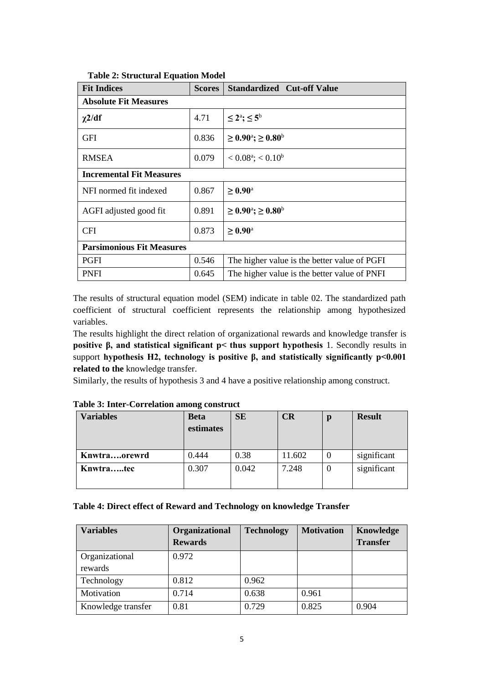| <b>Fit Indices</b>               | <b>Scores</b> | <b>Standardized Cut-off Value</b>            |  |  |
|----------------------------------|---------------|----------------------------------------------|--|--|
| <b>Absolute Fit Measures</b>     |               |                                              |  |  |
| $\chi$ 2/df                      | 4.71          | $\leq 2^{\rm a}$ ; $\leq 5^{\rm b}$          |  |  |
| <b>GFI</b>                       | 0.836         | $\geq 0.90^{\circ}$ ; ≥ 0.80 <sup>b</sup>    |  |  |
| <b>RMSEA</b>                     | 0.079         | $< 0.08^{\text{a}}$ ; $< 0.10^{\text{b}}$    |  |  |
| <b>Incremental Fit Measures</b>  |               |                                              |  |  |
| NFI normed fit indexed           | 0.867         | $\geq 0.90^{\rm a}$                          |  |  |
| AGFI adjusted good fit           | 0.891         | $\geq 0.90^{\circ}$ ; $\geq 0.80^{\circ}$    |  |  |
| <b>CFI</b>                       | 0.873         | $\geq 0.90^{\text{a}}$                       |  |  |
| <b>Parsimonious Fit Measures</b> |               |                                              |  |  |
| <b>PGFI</b>                      | 0.546         | The higher value is the better value of PGFI |  |  |
| <b>PNFI</b>                      | 0.645         | The higher value is the better value of PNFI |  |  |

**Table 2: Structural Equation Model**

The results of structural equation model (SEM) indicate in table 02. The standardized path coefficient of structural coefficient represents the relationship among hypothesized variables.

The results highlight the direct relation of organizational rewards and knowledge transfer is **positive β, and statistical significant p< thus support hypothesis** 1. Secondly results in support **hypothesis H2, technology is positive β, and statistically significantly p<0.001 related to the** knowledge transfer.

Similarly, the results of hypothesis 3 and 4 have a positive relationship among construct.

| <b>Variables</b> | <b>Beta</b><br>estimates | <b>SE</b> | CR     | р        | <b>Result</b> |
|------------------|--------------------------|-----------|--------|----------|---------------|
| Knwtraorewrd     | 0.444                    | 0.38      | 11.602 | $\Omega$ | significant   |
| Knwtratec        | 0.307                    | 0.042     | 7.248  | $\Omega$ | significant   |

**Table 3: Inter-Correlation among construct**

#### **Table 4: Direct effect of Reward and Technology on knowledge Transfer**

| <b>Variables</b>   | Organizational<br><b>Rewards</b> | <b>Technology</b> | <b>Motivation</b> | Knowledge<br><b>Transfer</b> |
|--------------------|----------------------------------|-------------------|-------------------|------------------------------|
| Organizational     | 0.972                            |                   |                   |                              |
| rewards            |                                  |                   |                   |                              |
| Technology         | 0.812                            | 0.962             |                   |                              |
| Motivation         | 0.714                            | 0.638             | 0.961             |                              |
| Knowledge transfer | 0.81                             | 0.729             | 0.825             | 0.904                        |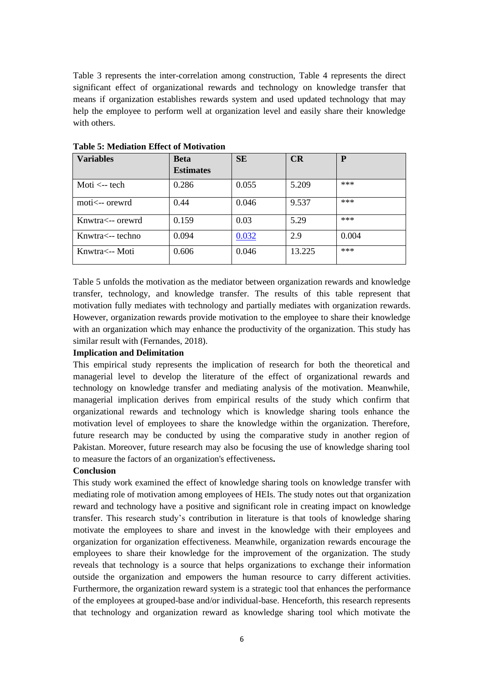Table 3 represents the inter-correlation among construction, Table 4 represents the direct significant effect of organizational rewards and technology on knowledge transfer that means if organization establishes rewards system and used updated technology that may help the employee to perform well at organization level and easily share their knowledge with others.

| <b>Variables</b>       | <b>Beta</b>      | <b>SE</b> | CR     | P     |
|------------------------|------------------|-----------|--------|-------|
|                        | <b>Estimates</b> |           |        |       |
| Moti $\leftarrow$ tech | 0.286            | 0.055     | 5.209  | ***   |
| moti<-- orewrd         | 0.44             | 0.046     | 9.537  | ***   |
| Knwtra<-- orewrd       | 0.159            | 0.03      | 5.29   | ***   |
| Knwtra<-- techno       | 0.094            | 0.032     | 2.9    | 0.004 |
| Knwtra<-- Moti         | 0.606            | 0.046     | 13.225 | ***   |

**Table 5: Mediation Effect of Motivation**

Table 5 unfolds the motivation as the mediator between organization rewards and knowledge transfer, technology, and knowledge transfer. The results of this table represent that motivation fully mediates with technology and partially mediates with organization rewards. However, organization rewards provide motivation to the employee to share their knowledge with an organization which may enhance the productivity of the organization. This study has similar result with (Fernandes, 2018).

#### **Implication and Delimitation**

This empirical study represents the implication of research for both the theoretical and managerial level to develop the literature of the effect of organizational rewards and technology on knowledge transfer and mediating analysis of the motivation. Meanwhile, managerial implication derives from empirical results of the study which confirm that organizational rewards and technology which is knowledge sharing tools enhance the motivation level of employees to share the knowledge within the organization. Therefore, future research may be conducted by using the comparative study in another region of Pakistan. Moreover, future research may also be focusing the use of knowledge sharing tool to measure the factors of an organization's effectiveness**.**

#### **Conclusion**

This study work examined the effect of knowledge sharing tools on knowledge transfer with mediating role of motivation among employees of HEIs. The study notes out that organization reward and technology have a positive and significant role in creating impact on knowledge transfer. This research study's contribution in literature is that tools of knowledge sharing motivate the employees to share and invest in the knowledge with their employees and organization for organization effectiveness. Meanwhile, organization rewards encourage the employees to share their knowledge for the improvement of the organization. The study reveals that technology is a source that helps organizations to exchange their information outside the organization and empowers the human resource to carry different activities. Furthermore, the organization reward system is a strategic tool that enhances the performance of the employees at grouped-base and/or individual-base. Henceforth, this research represents that technology and organization reward as knowledge sharing tool which motivate the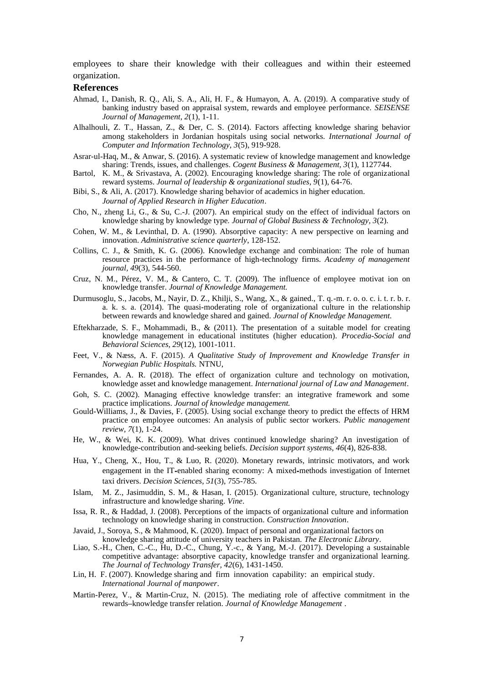employees to share their knowledge with their colleagues and within their esteemed organization.

#### **References**

- Ahmad, I., Danish, R. Q., Ali, S. A., Ali, H. F., & Humayon, A. A. (2019). A comparative study of banking industry based on appraisal system, rewards and employee performance. *SEISENSE Journal of Management, 2*(1), 1-11.
- Alhalhouli, Z. T., Hassan, Z., & Der, C. S. (2014). Factors affecting knowledge sharing behavior among stakeholders in Jordanian hospitals using social networks. *International Journal of Computer and Information Technology, 3*(5), 919-928.
- Asrar-ul-Haq, M., & Anwar, S. (2016). A systematic review of knowledge management and knowledge sharing: Trends, issues, and challenges. *Cogent Business & Management, 3*(1), 1127744.
- Bartol, K. M., & Srivastava, A. (2002). Encouraging knowledge sharing: The role of organizational reward systems. *Journal of leadership & organizational studies, 9*(1), 64-76.
- Bibi, S., & Ali, A. (2017). Knowledge sharing behavior of academics in higher education. *Journal of Applied Research in Higher Education*.
- Cho, N., zheng Li, G., & Su, C.-J. (2007). An empirical study on the effect of individual factors on knowledge sharing by knowledge type. *Journal of Global Business & Technology, 3*(2).
- Cohen, W. M., & Levinthal, D. A. (1990). Absorptive capacity: A new perspective on learning and innovation. *Administrative science quarterly*, 128-152.
- Collins, C. J., & Smith, K. G. (2006). Knowledge exchange and combination: The role of human resource practices in the performance of high-technology firms. *Academy of management journal, 49*(3), 544-560.
- Cruz, N. M., Pérez, V. M., & Cantero, C. T. (2009). The influence of employee motivat ion on knowledge transfer. *Journal of Knowledge Management.*
- Durmusoglu, S., Jacobs, M., Nayir, D. Z., Khilji, S., Wang, X., & gained., T. q.-m. r. o. o. c. i. t. r. b. r. a. k. s. a. (2014). The quasi-moderating role of organizational culture in the relationship between rewards and knowledge shared and gained. *Journal of Knowledge Management.*
- Eftekharzade, S. F., Mohammadi, B., & (2011). The presentation of a suitable model for creating knowledge management in educational institutes (higher education). *Procedia-Social and Behavioral Sciences, 29*(12), 1001-1011.
- Feet, V., & Næss, A. F. (2015). *A Qualitative Study of Improvement and Knowledge Transfer in Norwegian Public Hospitals.* NTNU,
- Fernandes, A. A. R. (2018). The effect of organization culture and technology on motivation, knowledge asset and knowledge management. *International journal of Law and Management*.
- Goh, S. C. (2002). Managing effective knowledge transfer: an integrative framework and some practice implications. *Journal of knowledge management.*
- Gould-Williams, J., & Davies, F. (2005). Using social exchange theory to predict the effects of HRM practice on employee outcomes: An analysis of public sector workers. *Public management review, 7*(1), 1-24.
- He, W., & Wei, K. K. (2009). What drives continued knowledge sharing? An investigation of knowledge-contribution and-seeking beliefs. *Decision support systems, 46*(4), 826-838.
- Hua, Y., Cheng, X., Hou, T., & Luo, R. (2020). Monetary rewards, intrinsic motivators, and work engagement in the IT-enabled sharing economy: A mixed-methods investigation of Internet taxi drivers. *Decision Sciences, 51*(3), 755-785.
- Islam, M. Z., Jasimuddin, S. M., & Hasan, I. (2015). Organizational culture, structure, technology infrastructure and knowledge sharing. *Vine*.
- Issa, R. R., & Haddad, J. (2008). Perceptions of the impacts of organizational culture and information technology on knowledge sharing in construction. *Construction Innovation*.
- Javaid, J., Soroya, S., & Mahmood, K. (2020). Impact of personal and organizational factors on knowledge sharing attitude of university teachers in Pakistan. *The Electronic Library*.
- Liao, S.-H., Chen, C.-C., Hu, D.-C., Chung, Y.-c., & Yang, M.-J. (2017). Developing a sustainable competitive advantage: absorptive capacity, knowledge transfer and organizational learning. *The Journal of Technology Transfer, 42*(6), 1431-1450.
- Lin, H. F. (2007). Knowledge sharing and firm innovation capability: an empirical study. *International Journal of manpower*.
- Martin-Perez, V., & Martin-Cruz, N. (2015). The mediating role of affective commitment in the rewards**–**knowledge transfer relation. *Journal of Knowledge Management* .